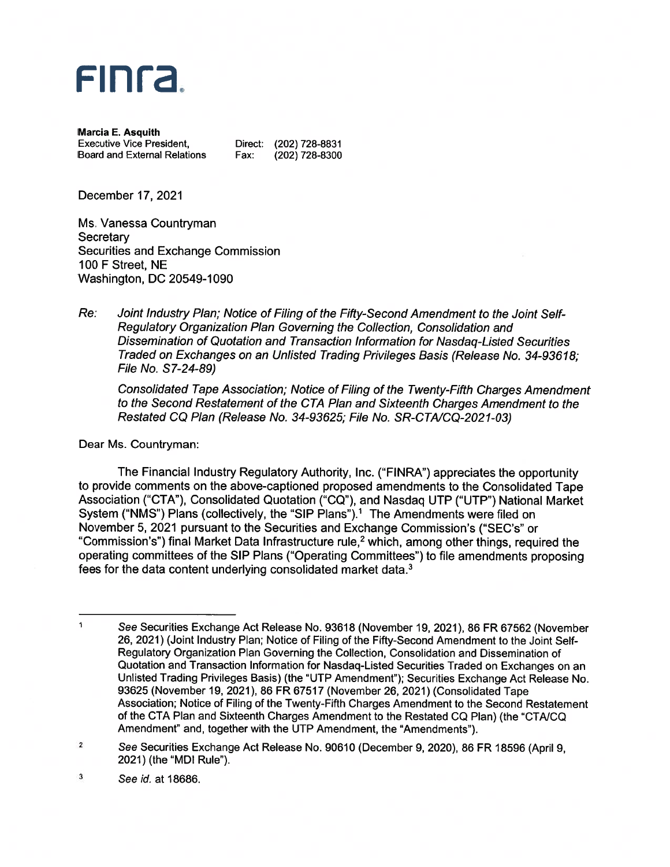

Marcia E. Asquith<br>Executive Vice President, Board and External Relations Fax: (202) 728-8300

Direct: (202) 728-8831

December 17, 2021

Ms. Vanessa Countryman **Secretary** Securities and Exchange Commission 100 F Street, NE Washington, DC 20549-1090

Re: Joint Industry Plan; Notice of Filing of the Fifty-Second Amendment to the Joint Self-Regulatory Organization Plan Governing the Collection, Consolidation and Dissemination of Quotation and Transaction Information for Nasdaq-Listed Securities Traded on Exchanges on an Unlisted Trading Privileges Basis (Release No. 34-93618; File No. S 7-24-89)

Consolidated Tape Association; Notice of Filing of the Twenty-Fifth Charges Amendment to the Second Restatement of the CTA Plan and Sixteenth Charges Amendment to the Restated CQ Plan (Release No. 34-93625; File No. SR-CTA/CQ-2021-03)

Dear Ms. Countryman:

The Financial Industry Regulatory Authority, Inc. ("FINRA") appreciates the opportunity to provide comments on the above-captioned proposed amendments to the Consolidated Tape Association ("CTA"), Consolidated Quotation ("CQ"), and Nasdaq UTP ("UTP") National Market System ("NMS") Plans (collectively, the "SIP Plans").<sup>1</sup> The Amendments were filed on November 5, 2021 pursuan<sup>t</sup> to the Securities and Exchange Commission's ("SEC's" or "Commission's") final Market Data Infrastructure rule,<sup>2</sup> which, among other things, required the operating committees of the SIP Plans ("Operating Committees") to file amendments proposing fees for the data content underlying consolidated market data.3

<sup>1</sup> See Securities Exchange Act Release No. 93618 (November 19, 2021), 86 FR 67562 (November 26, 2021) (Joint Industry Plan; Notice of Filing of the Fifty-Second Amendment to the Joint Self-Regulatory Organization Plan Governing the Collection, Consolidation and Dissemination of Quotation and Transaction Information for Nasdaq-Listed Securities Traded on Exchanges on an Unlisted Trading Privileges Basis) (the "UTP Amendment"); Securities Exchange Act Release No. 93625 (November 19, 2021), 86 FR 67517 (November 26, 2021)(Consolidated Tape Association; Notice of Filing of the Twenty-Fifth Charges Amendment to the Second Restatement of the CTA Plan and Sixteenth Charges Amendment to the Restated CQ Plan) (the "CTAJCQ Amendment" and, together with the UTP Amendment, the "Amendments").

<sup>2</sup> See Securities Exchange Act Release No. <sup>90610</sup> (December 9, 2020), <sup>86</sup> FR <sup>18596</sup> (April 9, 2021) (the "MDI Rule").

 $\mathbf{3}$ See id. at 18686.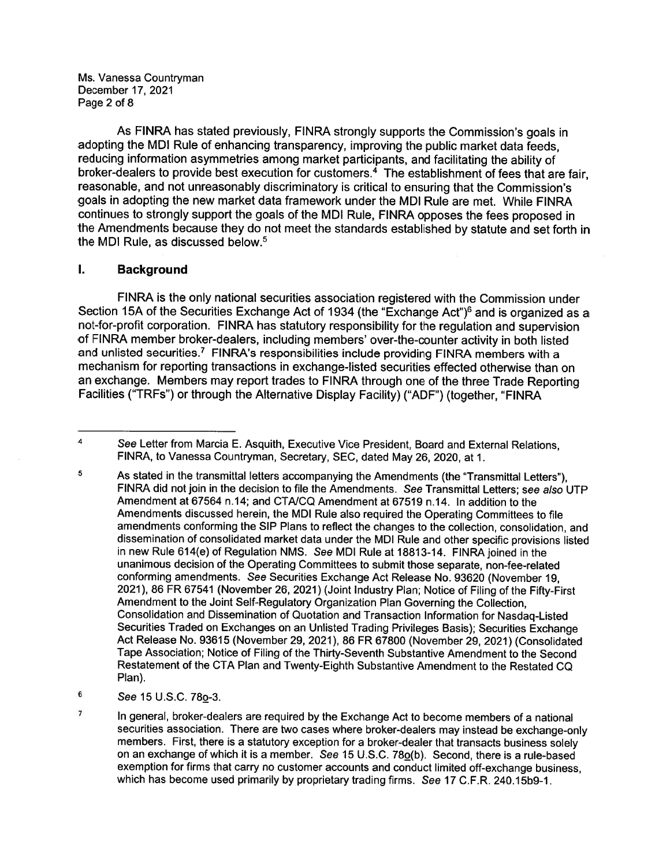Ms. Vanessa Countryman December 17, 2021 Page 2 of 8

As FINRA has stated previously, FINRA strongly supports the Commission's goals in adopting the MDI Rule of enhancing transparency, improving the public market data feeds, reducing information asymmetries among market participants, and facilitating the ability of broker-dealers to provide best execution for customers.<sup>4</sup> The establishment of fees that are fair, reasonable, and not unreasonably discriminatory is critical to ensuring that the Commission's goals in adopting the new market data framework under the MDI Rule are met. While FINRA continues to strongly suppor<sup>t</sup> the goals of the MDI Rule, FINRA opposes the fees propose<sup>d</sup> in the Amendments because they do not meet the standards established by statute and set forth in the MDI Rule, as discussed below.5

## I. Background

FINRA is the only national securities association registered with the Commission under Section 15A of the Securities Exchange Act of 1934 (the "Exchange Act")<sup>6</sup> and is organized as a not-for-profit corporation. FINRA has statutory responsibility for the regulation and supervision of FINRA member broker-dealers, including members' over-the-counter activity in both listed and unlisted securities.<sup>7</sup> FINRA's responsibilities include providing FINRA members with a mechanism for reporting transactions in exchange-listed securities effected otherwise than on an exchange. Members may repor<sup>t</sup> trades to FINRA through one of the three Trade Reporting Facilities ("TRFs") or through the Alternative Display Facility) ("ADF") (together, "FINRA

- $6$  See 15 U.S.C. 78 $<sub>0</sub>$ -3.</sub>
- $\overline{7}$ In general, broker-dealers are required by the Exchange Act to become members of <sup>a</sup> national securities association. There are two cases where broker-dealers may instead be exchange-only members. First, there is <sup>a</sup> statutory exception for <sup>a</sup> broker-dealer that transacts business solely on an exchange of which it is <sup>a</sup> member. See 15 U.S.C. 780(b). Second, there is <sup>a</sup> rule-based exemption for firms that carry no customer accounts and conduct limited off-exchange business, which has become used primarily by proprietary trading firms. See 17 C.F.R. 240.15b9-1.

 $\overline{4}$ See Letter from Marcia E. Asquith, Executive Vice President, Board and External Relations, FINRA, to Vanessa Countryman, Secretary, SEC, dated May 26, 2020, at 1.

<sup>5</sup> As stated in the transmittal letters accompanying the Amendments (the "Transmittal Letters"), FINRA did not join in the decision to file the Amendments. See Transmittal Letters; see also UTP Amendment at 67564 n.14; and CTAJCQ Amendment at 67519 n.14. In addition to the Amendments discussed herein, the MDI Rule also required the Operating Committees to file amendments conforming the SIP Plans to reflect the changes to the collection, consolidation, and dissemination of consolidated market data under the MDI Rule and other specific provisions listed in new Rule 614(e) of Regulation NMS. See MDI Rule at 18813-14. FINRA joined in the unanimous decision of the Operating Committees to submit those separate, non-fee-related conforming amendments. See Securities Exchange Act Release No. <sup>93620</sup> (November 19, 2021), <sup>86</sup> FR <sup>67541</sup> (November 26, 2021) (Joint Industry Plan: Notice of Filing of the Fifty-First Amendment to the Joint Self-Regulatory Organization Plan Governing the Collection, Consolidation and Dissemination of Quotation and Transaction Information for Nasdaq-Listed Securities Traded on Exchanges on an Unlisted Trading Privileges Basis); Securities Exchange Act Release No. <sup>93615</sup> (November 29, 2021), <sup>86</sup> FR <sup>67800</sup> (November 29, 2021) (Consolidated Tape Association; Notice of Filing of the Thirty-Seventh Substantive Amendment to the Second Restatement of the CTA Plan and Twenty-Eighth Substantive Amendment to the Restated CQ Plan).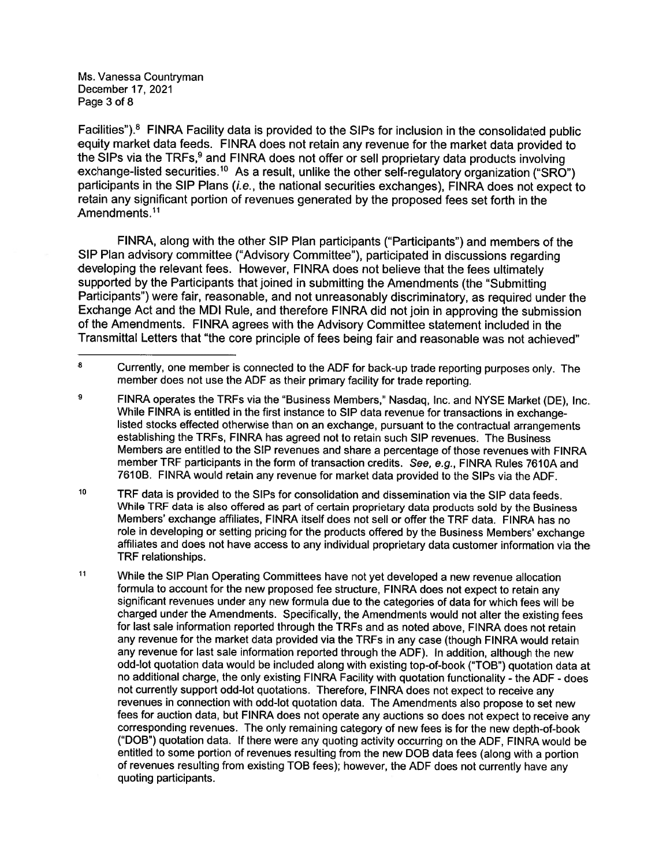Ms. Vanessa Countryman December 17, 2021 Page 3 of 8

Facilities").8 FINRA Facility data is provided to the SIPs for inclusion in the consolidated public equity market data feeds. FINRA does not retain any revenue for the market data provided to the SIPs via the TRFs,<sup>9</sup> and FINRA does not offer or sell proprietary data products involving exchange-listed securities.<sup>10</sup> As a result, unlike the other self-regulatory organization ("SRO") participants in the SIP Plans (i.e., the national securities exchanges), FINRA does not expect to retain any significant portion of revenues generated by the propose<sup>d</sup> fees set forth in the Amendments.<sup>11</sup>

FINRA, along with the other SIP Plan participants ("Participants") and members of the SIP Plan advisory committee ("Advisory Committee"), participated in discussions regarding developing the relevant fees. However, FINRA does not believe that the fees ultimately supported by the Participants that joined in submitting the Amendments (the "Submitting Participants") were fair, reasonable, and not unreasonably discriminatory, as required under the Exchange Act and the MDI Rule, and therefore FINRA did not join in approving the submission of the Amendments. FINRA agrees with the Advisory Committee statement included in the Transmittal Letters that "the core principle of fees being fair and reasonable was not achieved"

<sup>8</sup> Currently, one member is connected to the ADF for back-up trade reporting purposes only. The member does not use the ADF as their primary facility for trade reporting.

 $\overline{9}$ FINRA operates the TRFs via the "Business Members," Nasdaq, Inc. and NYSE Market (DE), Inc. While FINRA is entitled in the first instance to SIP data revenue for transactions in exchangelisted stocks effected otherwise than on an exchange, pursuan<sup>t</sup> to the contractual arrangements establishing the TRFs, FINRA has agreed not to retain such SIP revenues. The Business Members are entitled to the SIP revenues and share <sup>a</sup> percentage of those revenues with FINRA member TRF participants in the form of transaction credits. See, e.g., FINRA Rules 7610A and 7610B. FINRA would retain any revenue for market data provided to the SIPs via the ADF.

<sup>10</sup> TRF data is provided to the SIPs for consolidation and dissemination via the SIP data feeds. While TRF data is also offered as par<sup>t</sup> of certain proprietary data products sold by the Business Members' exchange affiliates, FINRA itself does not sell or offer the TRF data. FINRA has no role in developing or setting pricing for the products offered by the Business Members' exchange affiliates and does not have access to any individual proprietary data customer information via the TRF relationships.

<sup>11</sup> While the SIP Plan Operating Committees have not ye<sup>t</sup> developed <sup>a</sup> new revenue allocation formula to account for the new propose<sup>d</sup> fee structure, FINRA does not expec<sup>t</sup> to retain any significant revenues under any new formula due to the categories of data for which fees will be charged under the Amendments. Specifically, the Amendments would not alter the existing fees for last sale information reported through the TRFs and as noted above, FINRA does not retain any revenue for the market data provided via the TRFs in any case (though FINRA would retain any revenue for last sale information reported through the ADF). In addition, although the new odd-lot quotation data would be included along with existing top-of-book ("TOB") quotation data at no additional charge, the only existing FINRA Facility with quotation functionality - the ADF - does not currently suppor<sup>t</sup> odd-lot quotations. Therefore, FINRA does not expec<sup>t</sup> to receive any revenues in connection with odd-lot quotation data. The Amendments also propose to set new fees for auction data, but FINRA does not operate any auctions so does not expec<sup>t</sup> to receive any corresponding revenues. The only remaining category of new fees is for the new depth-of-book ("DUB") quotation data. If there were any quoting activity occurring on the ADF, FINRA would be entitled to some portion of revenues resulting from the new DOB data fees (along with a portion of revenues resulting from existing TOB fees); however, the ADF does not currently have any quoting participants.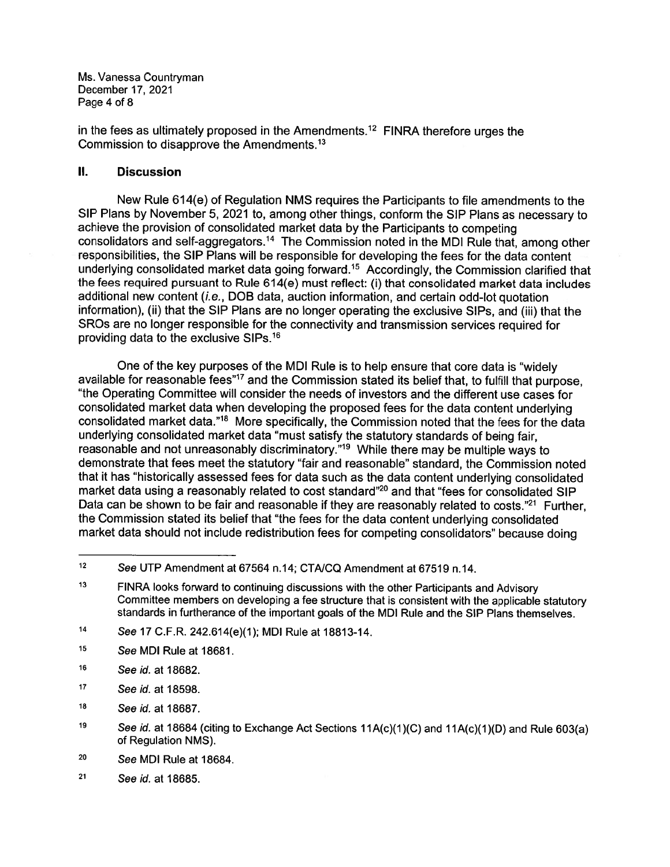Ms. Vanessa Countryman December 17, 2021 Page 4 of 8

in the fees as ultimately proposed in the Amendments.<sup>12</sup> FINRA therefore urges the Commission to disapprove the Amendments.13

#### II. Discussion

New Rule 614(e) of Regulation NMS requires the Participants to file amendments to the SIP Plans by November 5, <sup>2021</sup> to, among other things, conform the SIP Plans as necessary to achieve the provision of consolidated market data by the Participants to competing consolidators and self-aggregators.14 The Commission noted in the MDI Rule that, among other responsibilities, the SIP Plans will be responsible for developing the fees for the data content underlying consolidated market data going forward.15 Accordingly, the Commission clarified that the fees required pursuan<sup>t</sup> to Rule 614(e) must reflect: (i) that consolidated market data includes additional new content (i.e., DOB data, auction information, and certain odd-lot quotation information), (ii) that the SIP Plans are no longer operating the exclusive SIPs, and (iii) that the SROs are no longer responsible for the connectivity and transmission services required for providing data to the exclusive SIPs.16

One of the key purposes of the MDI Rule is to help ensure that core data is "widely available for reasonable fees"<sup>17</sup> and the Commission stated its belief that, to fulfill that purpose, "the Operating Committee will consider the needs of investors and the different use cases for consolidated market data when developing the propose<sup>d</sup> fees for the data content underlying consolidated market data."18 More specifically, the Commission noted that the fees for the data underlying consolidated market data "must satisfy the statutory standards of being fair, reasonable and not unreasonably discriminatory."19 While there may be multiple ways to demonstrate that fees meet the statutory "fair and reasonable" standard, the Commission noted that it has "historically assessed fees for data such as the data content underlying consolidated market data using <sup>a</sup> reasonably related to cost standard"2° and that "fees for consolidated SIP Data can be shown to be fair and reasonable if they are reasonably related to costs."<sup>21</sup> Further, the Commission stated its belief that "the fees for the data content underlying consolidated market data should not include redistribution fees for competing consolidators" because doing

- 14 See 17 C.F.R. 242.614(e)(1); MDI Rule at 18813-14.
- <sup>15</sup> See MDI Rule at 18681.
- 16 See id. at 18682.
- 17 See id. at 18598.
- 18 See id. at 18687.
- 19 See id. at 18684 (citing to Exchange Act Sections 11A(c)(1)(C) and 11A(c)(1)(D) and Rule 603(a) of Regulation NMS).
- <sup>20</sup> See MDI Rule at 18684.
- <sup>21</sup> See Id. at 18685.

<sup>12</sup> See UTP Amendment at 67564 n.14; CTAJCQ Amendment at 67519 n.14.

<sup>13</sup> FINRA looks forward to continuing discussions with the other Participants and Advisory Committee members on developing <sup>a</sup> fee structure that is consistent with the applicable statutory standards in furtherance of the important goals of the MDI Rule and the SIP Plans themselves.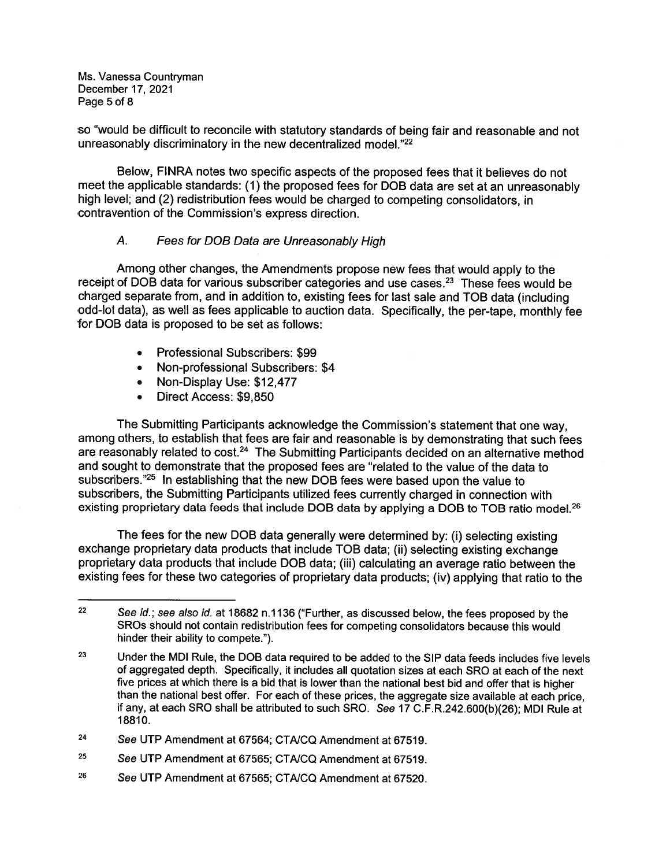Ms. Vanessa Countryman December 17, 2021 Page 5 of 8

so "would be difficult to reconcile with statutory standards of being fair and reasonable and not unreasonably discriminatory in the new decentralized model."<sup>22</sup>

Below, FINRA notes two specific aspects of the proposed fees that it believes do not meet the applicable standards: (1) the propose<sup>d</sup> fees for DOB data are set at an unreasonably high level; and (2) redistribution fees would be charged to competing consolidators, in contravention of the Commission's express direction.

## A. Fees for DOB Data are Unreasonably High

Among other changes, the Amendments propose new fees that would apply to the receipt of DOB data for various subscriber categories and use cases.<sup>23</sup> These fees would be charged separate from, and in addition to, existing fees for last sale and TOB data (including odd-lot data), as well as fees applicable to auction data. Specifically, the per-tape, monthly fee for DOB data is proposed to be set as follows:

- •Professional Subscribers: \$99
- Non-professional Subscribers: \$4
- Non-Display Use: \$12,477
- Direct Access: \$9,850

The Submitting Participants acknowledge the Commission's statement that one way, among others, to establish that fees are fair and reasonable is by demonstrating that such fees are reasonably related to cost.<sup>24</sup> The Submitting Participants decided on an alternative method and sought to demonstrate that the proposed fees are "related to the value of the data to subscribers."25 In establishing that the new DOB fees were based upon the value to subscribers, the Submitting Participants utilized fees currently charged in connection with existing proprietary data feeds that include DOB data by applying a DOB to TOB ratio model.<sup>26</sup>

The fees for the new DOB data generally were determined by: (i) selecting existing exchange proprietary data products that include TOB data; (ii) selecting existing exchange proprietary data products that include DOB data; (iii) calculating an average ratio between the existing fees for these two categories of proprietary data products; (iv) applying that ratio to the

- <sup>25</sup> See UTP Amendment at 67565; CTA/CQ Amendment at 67519.
- <sup>26</sup> See UTP Amendment at 67565; CTA/CQ Amendment at 67520.

<sup>&</sup>lt;sup>22</sup> See id.; see also id. at 18682 n.1136 ("Further, as discussed below, the fees proposed by the SROs should not contain redistribution fees for competing consolidators because this would hinder their ability to compete.").

<sup>&</sup>lt;sup>23</sup> Under the MDI Rule, the DOB data required to be added to the SIP data feeds includes five levels of aggregated depth. Specifically, it includes all quotation sizes at each SRO at each of the next five prices at which there is <sup>a</sup> bid that is lower than the national best bid and offer that is higher than the national best offer. For each of these prices, the aggregate size available at each price, if any, at each SRO shall be attributed to such SRO. See 17 C.F.R242.600(b)(26); MDI Rule at 18810.

<sup>24</sup> See UTP Amendment at 67564; CTAJCQ Amendment at 67519.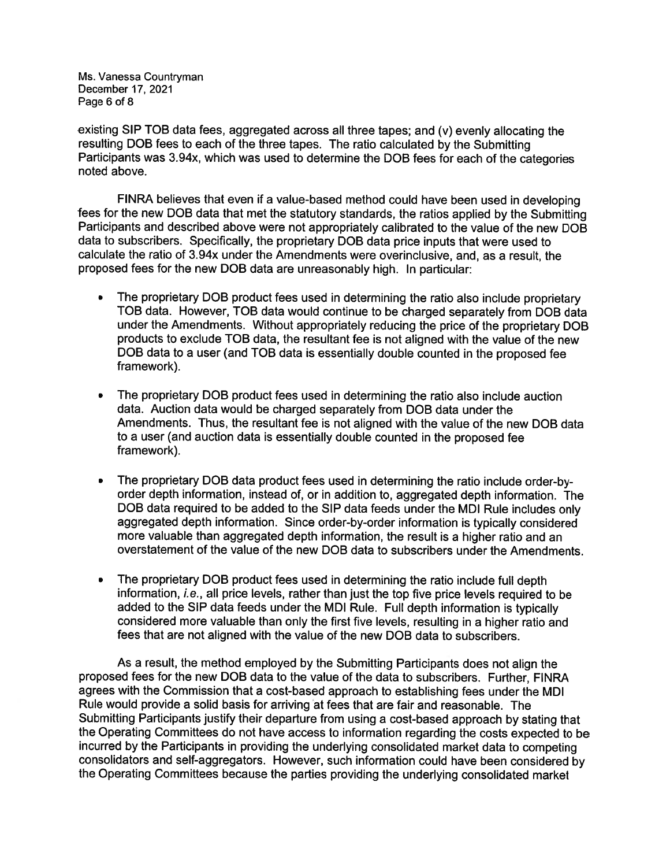Ms. Vanessa Countryman December 17, 2021 Page 6 of 8

existing SIP TOB data fees, aggregated across all three tapes; and (v) evenly allocating the resulting DOB fees to each of the three tapes. The ratio calculated by the Submitting Participants was 3.94x, which was used to determine the DOB fees for each of the categories noted above.

FINRA believes that even if <sup>a</sup> value-based method could have been used in developing fees for the new DOB data that met the statutory standards, the ratios applied by the Submitting Participants and described above were not appropriately calibrated to the value of the new DOB data to subscribers. Specifically, the proprietary DOB data price inputs that were used to calculate the ratio of 3.94x under the Amendments were overinclusive, and, as <sup>a</sup> result, the propose<sup>d</sup> fees for the new DOB data are unreasonably high. In particular:

- The proprietary DOB product fees used in determining the ratio also include proprietary TOB data. However, TOB data would continue to be charged separately from DOB data under the Amendments. Without appropriately reducing the price of the proprietary DOB products to exclude TOB data, the resultant fee is not aligned with the value of the new DOB data to <sup>a</sup> user (and TOB data is essentially double counted in the propose<sup>d</sup> fee framework).
- • The proprietary DOB product fees used in determining the ratio also include auction data. Auction data would be charged separately from DOB data under the Amendments. Thus, the resultant fee is not aligned with the value of the new DOB data to <sup>a</sup> user (and auction data is essentially double counted in the proposed fee framework).
- • The proprietary DOB data product fees used in determining the ratio include order-byorder depth information, instead of, or in addition to, aggregated depth information. The DOB data required to be added to the SIP data feeds under the MDI Rule includes only aggregated depth information. Since order-by-order information is typically considered more valuable than aggregated depth information, the result is <sup>a</sup> higher ratio and an overstatement of the value of the new DOB data to subscribers under the Amendments.
- • The proprietary DOB product fees used in determining the ratio include full depth information, i.e., all price levels, rather than just the top five price levels required to be added to the SIP data feeds under the MDI Rule. Full depth information is typically considered more valuable than only the first five levels, resulting in <sup>a</sup> higher ratio and fees that are not aligned with the value of the new DOB data to subscribers.

As <sup>a</sup> result, the method employed by the Submitting Participants does not align the proposed fees for the new DOB data to the value of the data to subscribers. Further, FINRA agrees with the Commission that <sup>a</sup> cost-based approach to establishing fees under the MDI Rule would provide <sup>a</sup> solid basis for arriving at fees that are fair and reasonable. The Submitting Participants justify their departure from using <sup>a</sup> cost-based approac<sup>h</sup> by stating that the Operating Committees do not have access to information regarding the costs expected to be incurred by the Participants in providing the underlying consolidated market data to competing consolidators and self-aggregators. However, such information could have been considered by the Operating Committees because the parties providing the underlying consolidated market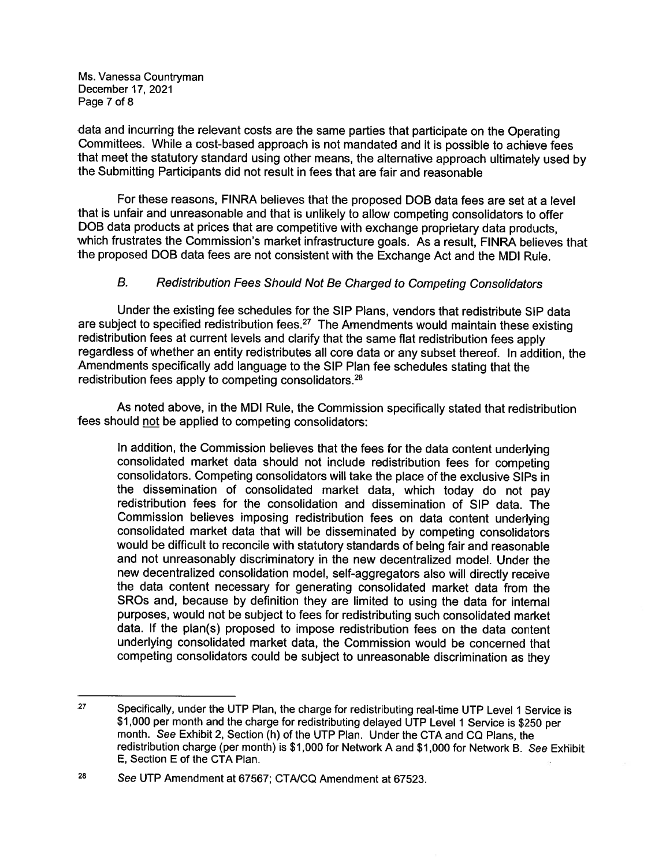Ms. Vanessa Countryman December 17, 2021 Page 7 of 8

data and incurring the relevant costs are the same parties that participate on the Operating Committees. While <sup>a</sup> cost-based approac<sup>h</sup> is not mandated and it is possible to achieve fees that meet the statutory standard using other means, the alternative approac<sup>h</sup> ultimately used by the Submitting Participants did not result in fees that are fair and reasonable

For these reasons, FINRA believes that the proposed DOB data fees are set at <sup>a</sup> level that is unfair and unreasonable and that is unlikely to allow competing consolidators to offer DOB data products at prices that are competitive with exchange proprietary data products, which frustrates the Commission's market infrastructure goals. As <sup>a</sup> result, FINRA believes that the propose<sup>d</sup> DOB data fees are not consistent with the Exchange Act and the MDI Rule.

# B. Redistribution Fees Should Not Be Charged to Competing Consolidators

Under the existing fee schedules for the SIP Plans, vendors that redistribute SIP data are subject to specified redistribution fees.<sup>27</sup> The Amendments would maintain these existing redistribution fees at current levels and clarify that the same flat redistribution fees apply regardless of whether an entity redistributes all core data or any subset thereof. In addition, the Amendments specifically add language to the SIP Plan fee schedules stating that the redistribution fees apply to competing consolidators.28

As noted above, in the MDI Rule, the Commission specifically stated that redistribution fees should not be applied to competing consolidators:

In addition, the Commission believes that the fees for the data content underlying consolidated market data should not include redistribution fees for competing consolidators. Competing consolidators will take the <sup>p</sup>lace of the exclusive SIPs in the dissemination of consolidated market data, which today do not pay redistribution fees for the consolidation and dissemination of SIP data. The Commission believes imposing redistribution fees on data content underlying consolidated market data that will be disseminated by competing consolidators would be difficult to reconcile with statutory standards of being fair and reasonable and not unreasonably discriminatory in the new decentralized model. Under the new decentralized consolidation model, self-aggregators also will directly receive the data content necessary for generating consolidated market data from the SROs and, because by definition they are limited to using the data for internal purposes, would not be subject to fees for redistributing such consolidated market data. If the plan(s) proposed to impose redistribution fees on the data content underlying consolidated market data, the Commission would be concerned that competing consolidators could be subject to unreasonable discrimination as they

<sup>&</sup>lt;sup>27</sup> Specifically, under the UTP Plan, the charge for redistributing real-time UTP Level 1 Service is<br>\$1,000 per month and the charge for redistributing delayed UTP Level 1 Service is \$250 per month. See Exhibit 2, Section (h) of the UTP Plan. Under the CTA and CQ Plans, the redistribution charge (per month) is \$1,000 for Network A and \$1,000 for Network B. See Exhibit E, Section E of the CTA Plan.

<sup>&</sup>lt;sup>28</sup> See UTP Amendment at 67567; CTA/CQ Amendment at 67523.